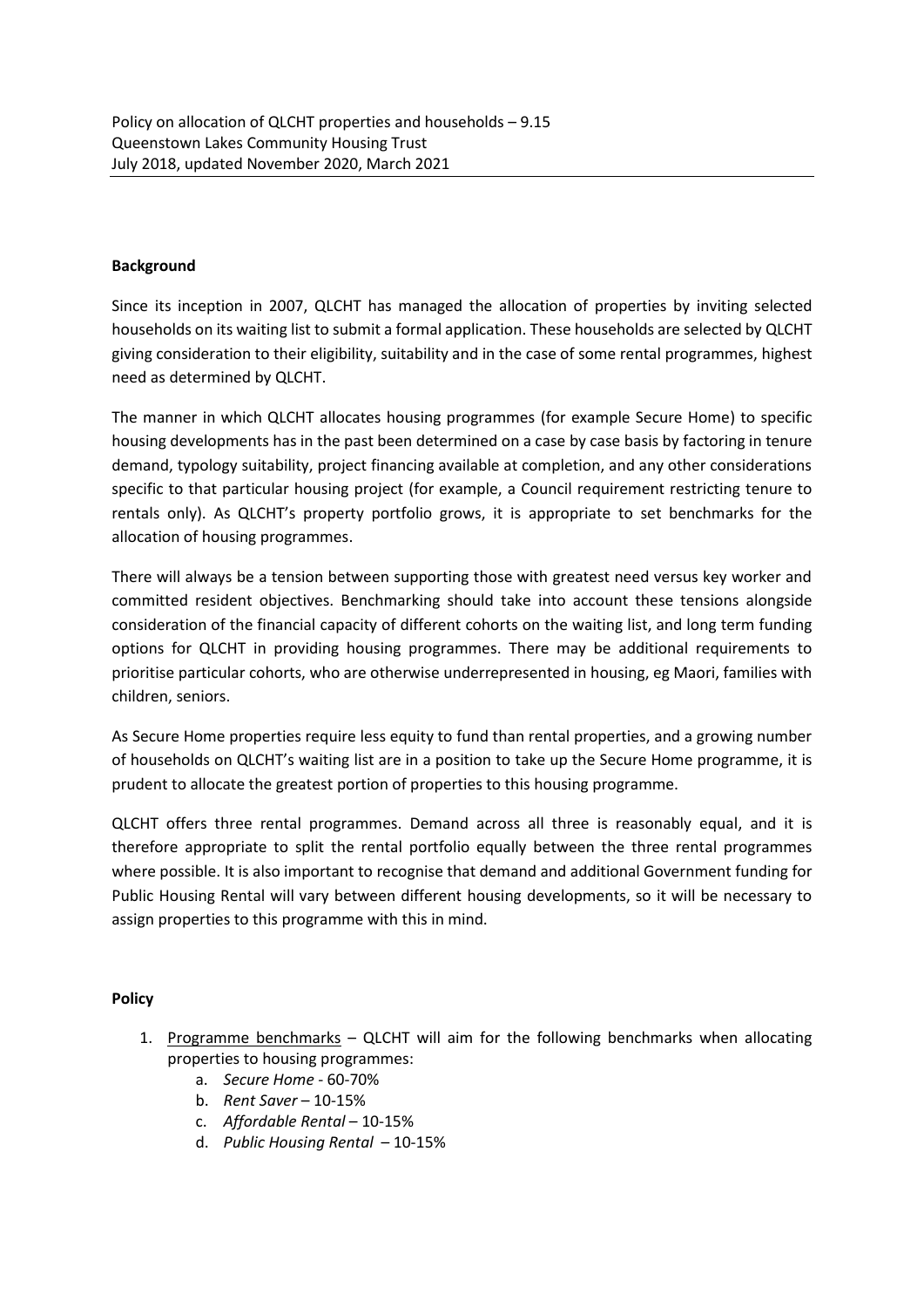## **Background**

Since its inception in 2007, QLCHT has managed the allocation of properties by inviting selected households on its waiting list to submit a formal application. These households are selected by QLCHT giving consideration to their eligibility, suitability and in the case of some rental programmes, highest need as determined by QLCHT.

The manner in which QLCHT allocates housing programmes (for example Secure Home) to specific housing developments has in the past been determined on a case by case basis by factoring in tenure demand, typology suitability, project financing available at completion, and any other considerations specific to that particular housing project (for example, a Council requirement restricting tenure to rentals only). As QLCHT's property portfolio grows, it is appropriate to set benchmarks for the allocation of housing programmes.

There will always be a tension between supporting those with greatest need versus key worker and committed resident objectives. Benchmarking should take into account these tensions alongside consideration of the financial capacity of different cohorts on the waiting list, and long term funding options for QLCHT in providing housing programmes. There may be additional requirements to prioritise particular cohorts, who are otherwise underrepresented in housing, eg Maori, families with children, seniors.

As Secure Home properties require less equity to fund than rental properties, and a growing number of households on QLCHT's waiting list are in a position to take up the Secure Home programme, it is prudent to allocate the greatest portion of properties to this housing programme.

QLCHT offers three rental programmes. Demand across all three is reasonably equal, and it is therefore appropriate to split the rental portfolio equally between the three rental programmes where possible. It is also important to recognise that demand and additional Government funding for Public Housing Rental will vary between different housing developments, so it will be necessary to assign properties to this programme with this in mind.

## **Policy**

- 1. Programme benchmarks QLCHT will aim for the following benchmarks when allocating properties to housing programmes:
	- a. *Secure Home* 60-70%
	- b. *Rent Saver* 10-15%
	- c. *Affordable Rental* 10-15%
	- d. *Public Housing Rental*  10-15%